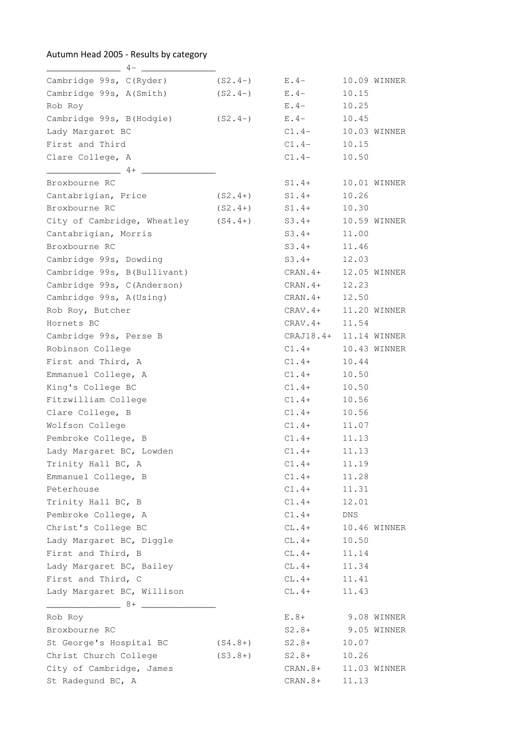## Autumn Head 2005 - Results by category

| $4-$                                |           |             |              |
|-------------------------------------|-----------|-------------|--------------|
| Cambridge 99s, C(Ryder)             | $(S2.4-)$ | $E.4-$      | 10.09 WINNER |
| Cambridge 99s, A(Smith)             | $(S2.4-)$ | $E.4-$      | 10.15        |
| Rob Roy                             |           | $E.4-$      | 10.25        |
| Cambridge 99s, B(Hodgie)            | $(S2.4-)$ | $E.4-$      | 10.45        |
| Lady Margaret BC                    |           | $C1.4-$     | 10.03 WINNER |
| First and Third                     |           | $C1.4-$     | 10.15        |
| Clare College, A                    |           | $C1.4-$     | 10.50        |
| $4+$ $4+$                           |           |             |              |
| Broxbourne RC                       |           | $S1.4+$     | 10.01 WINNER |
| Cantabrigian, Price                 | $(S2.4+)$ | $S1.4+$     | 10.26        |
| Broxbourne RC                       | $(S2.4+)$ | $S1.4+$     | 10.30        |
| City of Cambridge, Wheatley (S4.4+) |           | $S3.4+$     | 10.59 WINNER |
| Cantabrigian, Morris                |           | $S3.4+$     | 11.00        |
| Broxbourne RC                       |           | $S3.4+$     | 11.46        |
| Cambridge 99s, Dowding              |           | $S3.4+$     | 12.03        |
| Cambridge 99s, B(Bullivant)         |           | CRAN.4+     | 12.05 WINNER |
| Cambridge 99s, C(Anderson)          |           | $CRAN.4+$   | 12.23        |
| Cambridge 99s, A(Using)             |           | $CRAN.4+$   | 12.50        |
| Rob Roy, Butcher                    |           | CRAV.4+     | 11.20 WINNER |
| Hornets BC                          |           | CRAV.4+     | 11.54        |
| Cambridge 99s, Perse B              |           | $CRAJ18.4+$ | 11.14 WINNER |
| Robinson College                    |           | $C1.4+$     | 10.43 WINNER |
| First and Third, A                  |           | $C1.4+$     | 10.44        |
| Emmanuel College, A                 |           | $C1.4+$     | 10.50        |
| King's College BC                   |           | $C1.4+$     | 10.50        |
| Fitzwilliam College                 |           | $C1.4+$     | 10.56        |
| Clare College, B                    |           | $C1.4+$     | 10.56        |
| Wolfson College                     |           | $C1.4+$     | 11.07        |
| Pembroke College, B                 |           | $C1.4+$     | 11.13        |
| Lady Margaret BC, Lowden            |           | $C1.4+$     | 11.13        |
| Trinity Hall BC, A                  |           | $C1.4+$     | 11.19        |
| Emmanuel College, B                 |           | $C1.4+$     | 11.28        |
| Peterhouse                          |           | $C1.4+$     | 11.31        |
| Trinity Hall BC, B                  |           | $C1.4+$     | 12.01        |
| Pembroke College, A                 |           | $C1.4+$     | DNS          |
| Christ's College BC                 |           | $CL.4+$     | 10.46 WINNER |
| Lady Margaret BC, Diggle            |           | $CL.4+$     | 10.50        |
| First and Third, B                  |           | $CL.4+$     | 11.14        |
| Lady Margaret BC, Bailey            |           | $CL.4+$     | 11.34        |
| First and Third, C                  |           | $CL.4+$     | 11.41        |
| Lady Margaret BC, Willison          |           | $CL.4+$     | 11.43        |
| $\sim$ 8+ $\sim$                    |           |             |              |
| Rob Roy                             |           | $E.8+$      | 9.08 WINNER  |
| Broxbourne RC                       |           | $S2.8+$     | 9.05 WINNER  |
| St George's Hospital BC             | $(S4.8+)$ | $S2.8+$     | 10.07        |
| Christ Church College               | $(S3.8+)$ | $S2.8+$     | 10.26        |
| City of Cambridge, James            |           | CRAN.8+     | 11.03 WINNER |
| St Radegund BC, A                   |           | CRAN.8+     | 11.13        |
|                                     |           |             |              |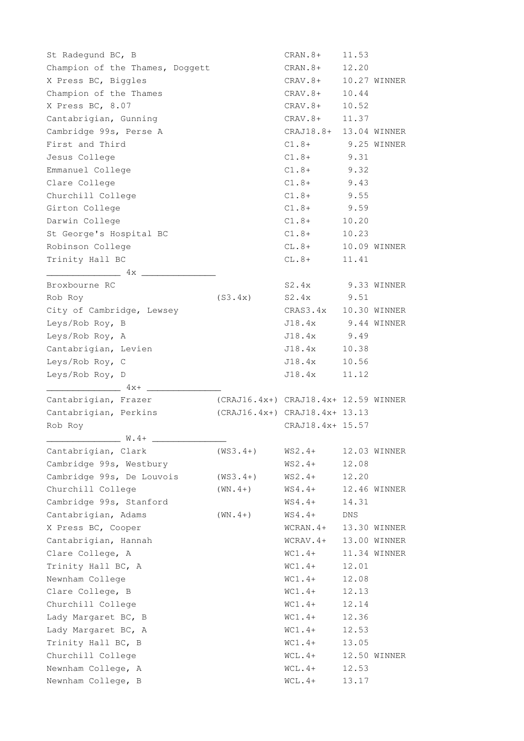| St Radeqund BC, B                                         |                               | CRAN.8+                | 11.53 |              |
|-----------------------------------------------------------|-------------------------------|------------------------|-------|--------------|
| Champion of the Thames, Doggett                           |                               | CRAN.8+                | 12.20 |              |
| X Press BC, Biggles                                       |                               | CRAV.8+                |       | 10.27 WINNER |
| Champion of the Thames                                    |                               | $CRAV.8+$              | 10.44 |              |
| X Press BC, 8.07                                          |                               | $CRAV.8+$              | 10.52 |              |
| Cantabrigian, Gunning                                     |                               | CRAV. 8+ 11.37         |       |              |
| Cambridge 99s, Perse A                                    |                               | CRAJ18.8+ 13.04 WINNER |       |              |
| First and Third                                           |                               | $C1.8+$                |       | 9.25 WINNER  |
| Jesus College                                             |                               | $C1.8+$ 9.31           |       |              |
| Emmanuel College                                          |                               | $C1.8+$                | 9.32  |              |
| Clare College                                             |                               | $C1.8+$                | 9.43  |              |
| Churchill College                                         |                               | $C1.8+$ 9.55           |       |              |
| Girton College                                            |                               | $C1.8+$                | 9.59  |              |
| Darwin College                                            |                               | $C1.8+ 10.20$          |       |              |
| St George's Hospital BC                                   |                               | $C1.8+$ 10.23          |       |              |
| Robinson College                                          |                               | CL.8+ 10.09 WINNER     |       |              |
| Trinity Hall BC                                           |                               | $CL.8+$                | 11.41 |              |
| $\frac{4x}{2}$                                            |                               |                        |       |              |
| Broxbourne RC                                             |                               | S2.4x 9.33 WINNER      |       |              |
| Rob Roy                                                   | (S3.4x)                       | S2.4x 9.51             |       |              |
| City of Cambridge, Lewsey                                 |                               | CRAS3.4x 10.30 WINNER  |       |              |
| Leys/Rob Roy, B                                           |                               | J18.4x 9.44 WINNER     |       |              |
| Leys/Rob Roy, A                                           |                               | J18.4x 9.49            |       |              |
| Cantabrigian, Levien                                      |                               | $J18.4x$ 10.38         |       |              |
| Leys/Rob Roy, C                                           |                               | $J18.4x$ 10.56         |       |              |
| Leys/Rob Roy, D                                           |                               | J18.4x                 | 11.12 |              |
| $4x+$                                                     |                               |                        |       |              |
| Cantabrigian, Frazer (CRAJ16.4x+) CRAJ18.4x+ 12.59 WINNER |                               |                        |       |              |
| Cantabrigian, Perkins                                     | (CRAJ16.4x+) CRAJ18.4x+ 13.13 |                        |       |              |
| Rob Roy                                                   |                               | CRAJ18.4x+ 15.57       |       |              |
| $W.4+$                                                    |                               |                        |       |              |
| Cantabrigian, Clark                                       | $(WS3.4+)$                    | $WS2.4+$               |       | 12.03 WINNER |
| Cambridge 99s, Westbury                                   |                               | $WS2.4+$               | 12.08 |              |
| Cambridge 99s, De Louvois                                 | $(WS3.4+)$                    | $WS2.4+$               | 12.20 |              |
| Churchill College                                         | $(WN \cdot 4+)$               | $WS4.4+$               |       | 12.46 WINNER |
| Cambridge 99s, Stanford                                   |                               | $WS4.4+$               | 14.31 |              |
| Cantabrigian, Adams                                       | $(WN \cdot 4+)$               | WS4.4+                 | DNS.  |              |
| X Press BC, Cooper                                        |                               | $WCRAM.4+$             |       | 13.30 WINNER |
| Cantabrigian, Hannah                                      |                               | $WCRAV.4+$             |       | 13.00 WINNER |
| Clare College, A                                          |                               | $WC1.4+$               |       | 11.34 WINNER |
| Trinity Hall BC, A                                        |                               | $WC1.4+$               | 12.01 |              |
| Newnham College                                           |                               | $WC1.4+$               | 12.08 |              |
| Clare College, B                                          |                               | $WC1.4+$               | 12.13 |              |
| Churchill College                                         |                               | $WC1.4+$               | 12.14 |              |
| Lady Margaret BC, B                                       |                               | $WC1.4+$               | 12.36 |              |
| Lady Margaret BC, A                                       |                               | $WC1.4+$               | 12.53 |              |
| Trinity Hall BC, B                                        |                               | $WC1.4+$               | 13.05 |              |
| Churchill College                                         |                               | $WCL.4+$               |       | 12.50 WINNER |
| Newnham College, A                                        |                               | $WCL.4+$               | 12.53 |              |
| Newnham College, B                                        |                               | $WCL.4+$               | 13.17 |              |